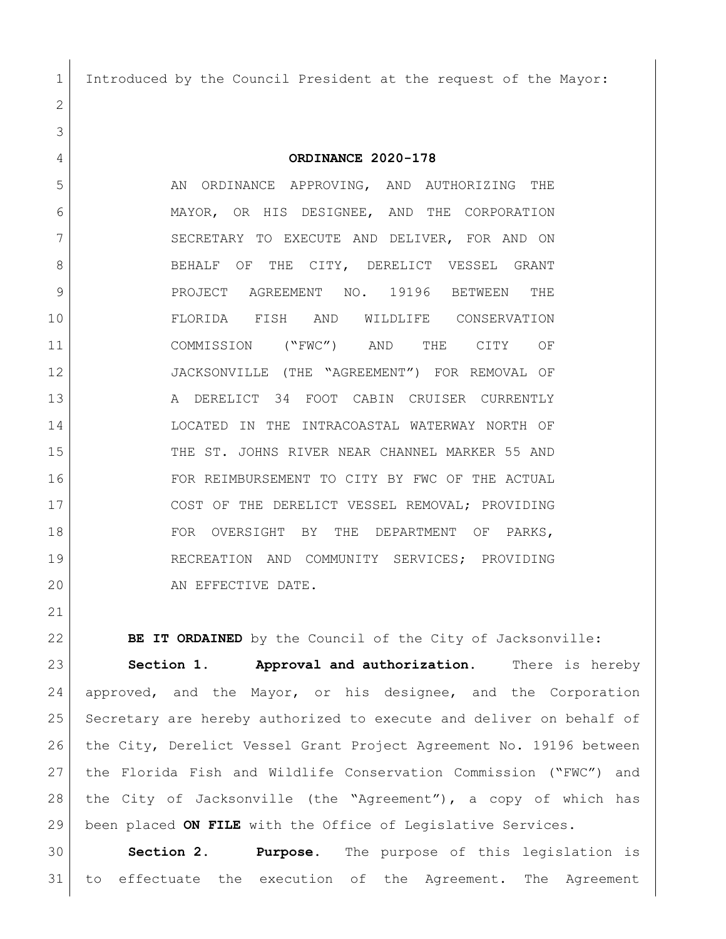Introduced by the Council President at the request of the Mayor:

**ORDINANCE 2020-178**

5 AN ORDINANCE APPROVING, AND AUTHORIZING THE MAYOR, OR HIS DESIGNEE, AND THE CORPORATION 7 SECRETARY TO EXECUTE AND DELIVER, FOR AND ON 8 BEHALF OF THE CITY, DERELICT VESSEL GRANT 9 PROJECT AGREEMENT NO. 19196 BETWEEN THE FLORIDA FISH AND WILDLIFE CONSERVATION COMMISSION ("FWC") AND THE CITY OF JACKSONVILLE (THE "AGREEMENT") FOR REMOVAL OF 13 A DERELICT 34 FOOT CABIN CRUISER CURRENTLY LOCATED IN THE INTRACOASTAL WATERWAY NORTH OF 15 THE ST. JOHNS RIVER NEAR CHANNEL MARKER 55 AND FOR REIMBURSEMENT TO CITY BY FWC OF THE ACTUAL 17 COST OF THE DERELICT VESSEL REMOVAL; PROVIDING 18 FOR OVERSIGHT BY THE DEPARTMENT OF PARKS, RECREATION AND COMMUNITY SERVICES; PROVIDING 20 AN EFFECTIVE DATE.

**BE IT ORDAINED** by the Council of the City of Jacksonville:

 **Section 1. Approval and authorization.** There is hereby approved, and the Mayor, or his designee, and the Corporation Secretary are hereby authorized to execute and deliver on behalf of the City, Derelict Vessel Grant Project Agreement No. 19196 between the Florida Fish and Wildlife Conservation Commission ("FWC") and the City of Jacksonville (the "Agreement"), a copy of which has been placed **ON FILE** with the Office of Legislative Services.

 **Section 2. Purpose.** The purpose of this legislation is to effectuate the execution of the Agreement. The Agreement